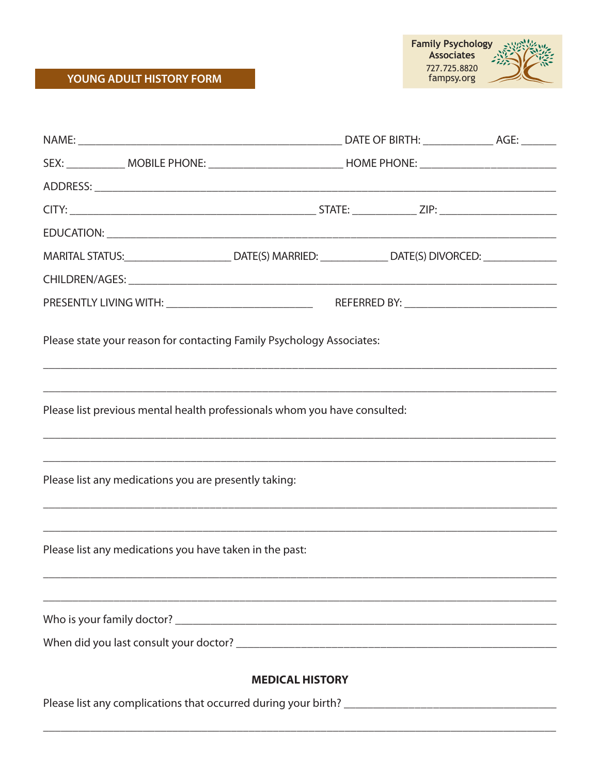## YOUNG ADULT HISTORY FORM



| SEX: ______________ MOBILE PHONE: _________________________________HOME PHONE: _______________________________                                                                                                                 |  |  |  |
|--------------------------------------------------------------------------------------------------------------------------------------------------------------------------------------------------------------------------------|--|--|--|
|                                                                                                                                                                                                                                |  |  |  |
|                                                                                                                                                                                                                                |  |  |  |
|                                                                                                                                                                                                                                |  |  |  |
| MARITAL STATUS:________________________________DATE(S) MARRIED: ________________DATE(S) DIVORCED: ____________                                                                                                                 |  |  |  |
|                                                                                                                                                                                                                                |  |  |  |
|                                                                                                                                                                                                                                |  |  |  |
| Please state your reason for contacting Family Psychology Associates:                                                                                                                                                          |  |  |  |
| Please list previous mental health professionals whom you have consulted:<br>,我们也不能在这里的时候,我们也不能在这里的时候,我们也不能不能不能不能不能不能不能不能不能不能不能不能不能不能不能。""我们的是我们的,我们也不能不能不能不能                                                                  |  |  |  |
| ,我们也不能在这里的时候,我们也不能在这里的时候,我们也不能在这里的时候,我们也不能会在这里的时候,我们也不能会在这里的时候,我们也不能会在这里的时候,我们也不<br>Please list any medications you are presently taking:<br>,我们也不能在这里的人,我们也不能在这里的人,我们也不能不能不能不能不能不能不能不能不能不能不能不能不能不能。""我们的人,我们也不能不能不能不能不能不能不能不能 |  |  |  |
| Please list any medications you have taken in the past:                                                                                                                                                                        |  |  |  |
|                                                                                                                                                                                                                                |  |  |  |
|                                                                                                                                                                                                                                |  |  |  |
| <b>MEDICAL HISTORY</b>                                                                                                                                                                                                         |  |  |  |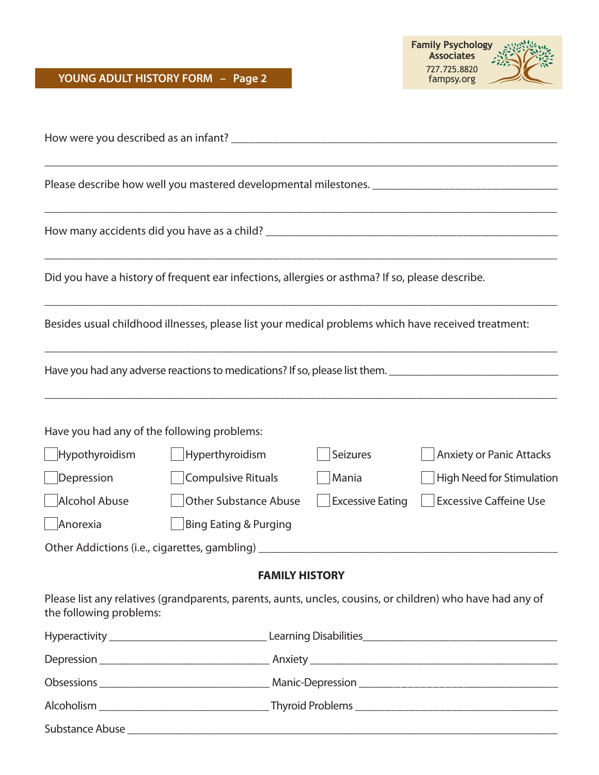Substance Abuse \_\_\_\_\_\_\_\_\_\_\_\_\_\_\_\_\_\_\_\_\_\_\_\_\_\_\_\_\_\_\_\_\_\_\_\_\_\_\_\_\_\_\_\_\_\_\_\_\_\_\_\_\_\_\_\_\_\_\_\_\_\_\_\_\_\_\_\_\_\_\_\_\_



|                                             | Please describe how well you mastered developmental milestones. [100] [100] [100] [100] [100] [100] [100] [100 |                         |                                 |
|---------------------------------------------|----------------------------------------------------------------------------------------------------------------|-------------------------|---------------------------------|
|                                             |                                                                                                                |                         |                                 |
|                                             | Did you have a history of frequent ear infections, allergies or asthma? If so, please describe.                |                         |                                 |
|                                             | Besides usual childhood illnesses, please list your medical problems which have received treatment:            |                         |                                 |
|                                             | Have you had any adverse reactions to medications? If so, please list them. __________________________________ |                         |                                 |
| Have you had any of the following problems: |                                                                                                                |                         |                                 |
| $\bigsqcup$ Hypothyroidism                  | $\Box$ Hyperthyroidism                                                                                         | Seizures                | <b>Anxiety or Panic Attacks</b> |
| Depression                                  | Compulsive Rituals                                                                                             | Mania                   | High Need for Stimulation       |
| Alcohol Abuse                               | <b>Other Substance Abuse</b>                                                                                   | <b>Excessive Eating</b> | <b>Excessive Caffeine Use</b>   |
| Anorexia                                    | <b>Bing Eating &amp; Purging</b>                                                                               |                         |                                 |
|                                             | Other Addictions (i.e., cigarettes, gambling) __________________________________                               |                         |                                 |
|                                             | <b>FAMILY HISTORY</b>                                                                                          |                         |                                 |
| the following problems:                     | Please list any relatives (grandparents, parents, aunts, uncles, cousins, or children) who have had any of     |                         |                                 |
|                                             |                                                                                                                |                         |                                 |
|                                             |                                                                                                                |                         |                                 |
|                                             |                                                                                                                |                         |                                 |
|                                             |                                                                                                                |                         |                                 |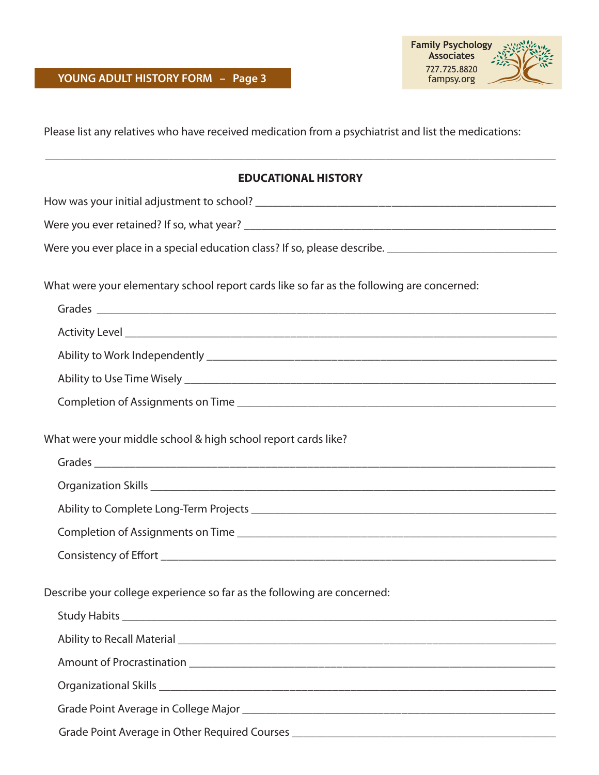

Please list any relatives who have received medication from a psychiatrist and list the medications:

| <b>EDUCATIONAL HISTORY</b>                                                                                              |
|-------------------------------------------------------------------------------------------------------------------------|
|                                                                                                                         |
|                                                                                                                         |
|                                                                                                                         |
| What were your elementary school report cards like so far as the following are concerned:                               |
|                                                                                                                         |
|                                                                                                                         |
|                                                                                                                         |
|                                                                                                                         |
|                                                                                                                         |
| What were your middle school & high school report cards like?                                                           |
|                                                                                                                         |
|                                                                                                                         |
|                                                                                                                         |
|                                                                                                                         |
|                                                                                                                         |
| Describe your college experience so far as the following are concerned:                                                 |
|                                                                                                                         |
| Ability to Recall Material <b>Accord Accord Accord Accord Accord Accord Accord Accord Accord Accord Accord Accord A</b> |
|                                                                                                                         |
|                                                                                                                         |
|                                                                                                                         |
| Grade Point Average in Other Required Courses __________________________________                                        |
|                                                                                                                         |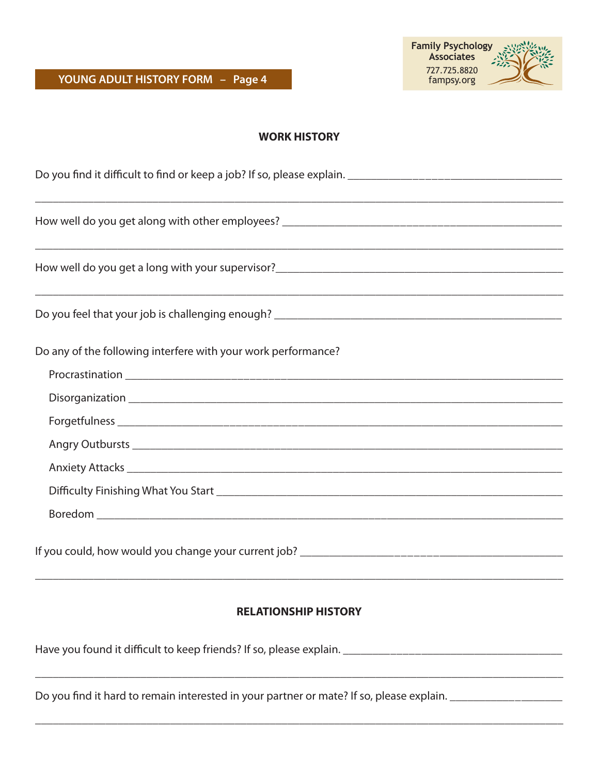

## **WORK HISTORY**

| <u> 1990 - Jan Barnett, fransk politik (d. 1980)</u>          |  |  |
|---------------------------------------------------------------|--|--|
|                                                               |  |  |
|                                                               |  |  |
|                                                               |  |  |
|                                                               |  |  |
| Do any of the following interfere with your work performance? |  |  |
|                                                               |  |  |
|                                                               |  |  |
|                                                               |  |  |
|                                                               |  |  |
|                                                               |  |  |
|                                                               |  |  |
|                                                               |  |  |
|                                                               |  |  |
|                                                               |  |  |
|                                                               |  |  |

## **RELATIONSHIP HISTORY**

\_\_\_\_\_\_\_\_\_\_\_\_\_\_\_\_\_\_\_\_\_\_\_\_\_\_\_\_\_\_\_\_\_\_\_\_\_\_\_\_\_\_\_\_\_\_\_\_\_\_\_\_\_\_\_\_\_\_\_\_\_\_\_\_\_\_\_\_\_\_\_\_\_\_\_\_\_\_\_\_\_\_\_\_\_\_\_\_\_\_

\_\_\_\_\_\_\_\_\_\_\_\_\_\_\_\_\_\_\_\_\_\_\_\_\_\_\_\_\_\_\_\_\_\_\_\_\_\_\_\_\_\_\_\_\_\_\_\_\_\_\_\_\_\_\_\_\_\_\_\_\_\_\_\_\_\_\_\_\_\_\_\_\_\_\_\_\_\_\_\_\_\_\_\_\_\_\_\_\_\_

Have you found it difficult to keep friends? If so, please explain. \_\_\_\_\_\_\_\_\_\_\_\_\_\_\_\_\_\_\_\_\_\_\_\_\_\_\_\_\_\_\_\_\_\_\_\_\_

Do you find it hard to remain interested in your partner or mate? If so, please explain. \_\_\_\_\_\_\_\_\_\_\_\_\_\_\_\_\_\_\_\_\_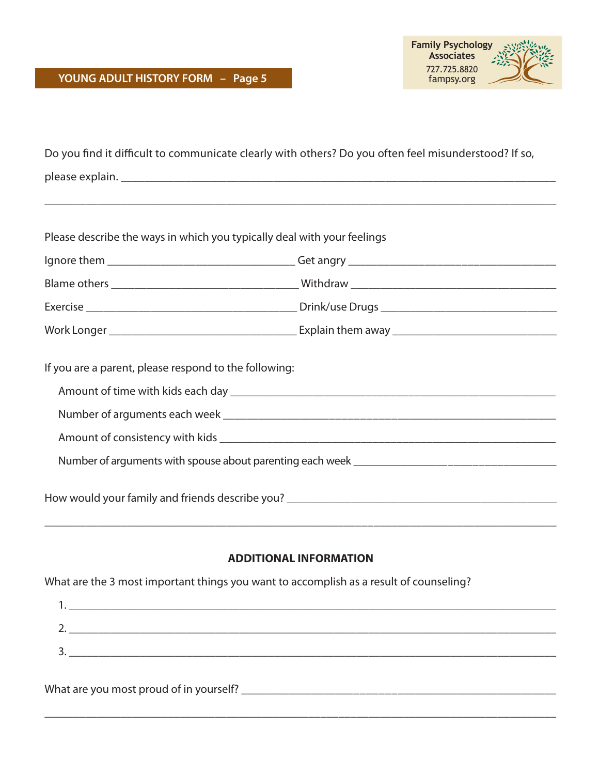

| Do you find it difficult to communicate clearly with others? Do you often feel misunderstood? If so, |  |  |
|------------------------------------------------------------------------------------------------------|--|--|
|                                                                                                      |  |  |
|                                                                                                      |  |  |
|                                                                                                      |  |  |
| Please describe the ways in which you typically deal with your feelings                              |  |  |
|                                                                                                      |  |  |
|                                                                                                      |  |  |
|                                                                                                      |  |  |
|                                                                                                      |  |  |
| If you are a parent, please respond to the following:                                                |  |  |
|                                                                                                      |  |  |
|                                                                                                      |  |  |
|                                                                                                      |  |  |
|                                                                                                      |  |  |
|                                                                                                      |  |  |
|                                                                                                      |  |  |

## **ADDITIONAL INFORMATION**

What are the 3 most important things you want to accomplish as a result of counseling?

| - |  |
|---|--|
|   |  |
| ັ |  |
|   |  |

\_\_\_\_\_\_\_\_\_\_\_\_\_\_\_\_\_\_\_\_\_\_\_\_\_\_\_\_\_\_\_\_\_\_\_\_\_\_\_\_\_\_\_\_\_\_\_\_\_\_\_\_\_\_\_\_\_\_\_\_\_\_\_\_\_\_\_\_\_\_\_\_\_\_\_\_\_\_\_\_\_\_\_\_\_\_\_

What are you most proud of in yourself? \_\_\_\_\_\_\_\_\_\_\_\_\_\_\_\_\_\_\_\_\_\_\_\_\_\_\_\_\_\_\_\_\_\_\_\_\_\_\_\_\_\_\_\_\_\_\_\_\_\_\_\_\_